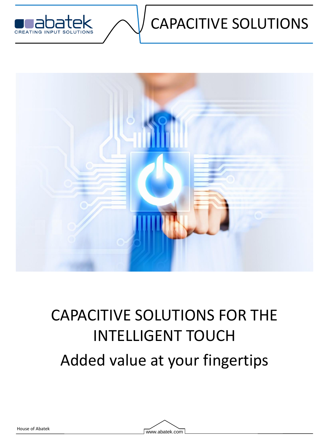

## CAPACITIVE SOLUTIONS



# CAPACITIVE SOLUTIONS FOR THE INTELLIGENT TOUCH Added value at your fingertips

House of Abatek<br>
House of Abatek.com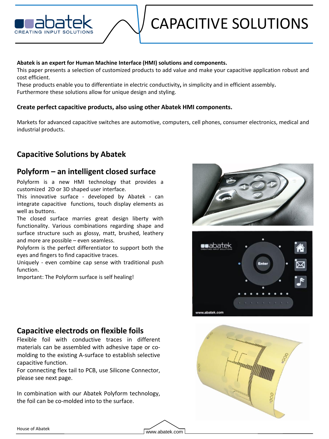### CAPACITIVE SOLUTIONS

#### **Abatek is an expert for Human Machine Interface (HMI) solutions and components.**

This paper presents a selection of customized products to add value and make your capacitive application robust and cost efficient.

These products enable you to differentiate in electric conductivity**,** in simplicity and in efficient assembly**.** Furthermore these solutions allow for unique design and styling.

#### **Create perfect capacitive products, also using other Abatek HMI components.**

Markets for advanced capacitive switches are automotive, computers, cell phones, consumer electronics, medical and industrial products.

#### **Capacitive Solutions by Abatek**

#### **Polyform – an intelligent closed surface**

Polyform is a new HMI technology that provides a customized 2D or 3D shaped user interface.

This innovative surface - developed by Abatek - can integrate capacitive functions, touch display elements as well as buttons.

The closed surface marries great design liberty with functionality. Various combinations regarding shape and surface structure such as glossy, matt, brushed, leathery and more are possible – even seamless.

Polyform is the perfect differentiator to support both the eyes and fingers to find capacitive traces.

Uniquely - even combine cap sense with traditional push function.

Important: The Polyform surface is self healing!





#### **Capacitive electrods on flexible foils**

Flexible foil with conductive traces in different materials can be assembled with adhesive tape or comolding to the existing A-surface to establish selective capacitive function.

For connecting flex tail to PCB, use Silicone Connector, please see next page.

In combination with our Abatek Polyform technology, the foil can be co-molded into to the surface.

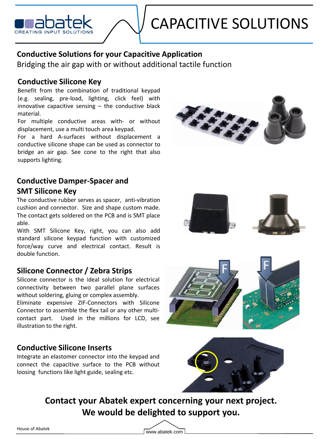

#### **Conductive Solutions for your Capacitive Application**

Bridging the air gap with or without additional tactile function

#### **Conductive Silicone Key**

Benefit from the combination of traditional keypad (e.g. sealing, pre-load, lighting, click feel) with innovative capacitive sensing  $-$  the conductive black material.

For multiple conductive areas with- or without displacement, use a multi touch area keypad.

For a hard A-surfaces without displacement a conductive silicone shape can be used as connector to bridge an air gap. See cone to the right that also supports lighting.



#### **Conductive Damper-Spacer and SMT Silicone Key**

The conductive rubber serves as spacer, anti-vibration cushion and connector. Size and shape custom made. The contact gets soldered on the PCB and is SMT place able.

With SMT Silicone Key, right, you can also add standard silicone keypad function with customized force/way curve and electrical contact. Result is double function.

#### **Silicone Connector / Zebra Strips**

Silicone connector is the ideal solution for electrical connectivity between two parallel plane surfaces without soldering, gluing or complex assembly.

Eliminate expensive ZIF-Connectors with Silicone Connector to assemble the flex tail or any other multicontact part. Used in the millions for LCD, see illustration to the right.

#### **Conductive Silicone Inserts**

Integrate an elastomer connector into the keypad and connect the capacitive surface to the PCB without loosing functions like light guide, sealing etc.







**Contact your Abatek expert concerning your next project. We would be delighted to support you.**

House of Abatek<br>
House of Abatek.com